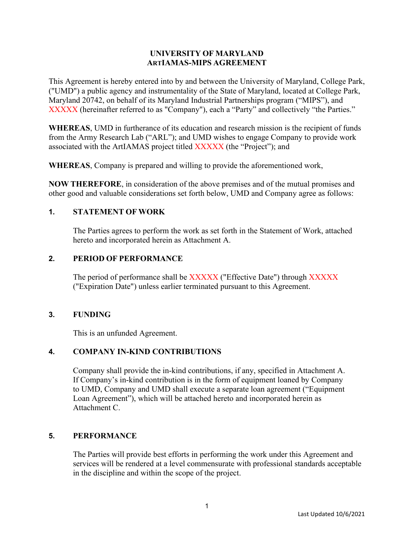## **UNIVERSITY OF MARYLAND ARTIAMAS-MIPS AGREEMENT**

This Agreement is hereby entered into by and between the University of Maryland, College Park, ("UMD") a public agency and instrumentality of the State of Maryland, located at College Park, Maryland 20742, on behalf of its Maryland Industrial Partnerships program ("MIPS"), and XXXXX (hereinafter referred to as "Company"), each a "Party" and collectively "the Parties."

**WHEREAS**, UMD in furtherance of its education and research mission is the recipient of funds from the Army Research Lab ("ARL"); and UMD wishes to engage Company to provide work associated with the ArtIAMAS project titled XXXXX (the "Project"); and

**WHEREAS**, Company is prepared and willing to provide the aforementioned work,

**NOW THEREFORE**, in consideration of the above premises and of the mutual promises and other good and valuable considerations set forth below, UMD and Company agree as follows:

## **1. STATEMENT OF WORK**

The Parties agrees to perform the work as set forth in the Statement of Work, attached hereto and incorporated herein as Attachment A.

#### **2. PERIOD OF PERFORMANCE**

The period of performance shall be XXXXX ("Effective Date") through XXXXX ("Expiration Date") unless earlier terminated pursuant to this Agreement.

#### **3. FUNDING**

This is an unfunded Agreement.

#### **4. COMPANY IN-KIND CONTRIBUTIONS**

Company shall provide the in-kind contributions, if any, specified in Attachment A. If Company's in-kind contribution is in the form of equipment loaned by Company to UMD, Company and UMD shall execute a separate loan agreement ("Equipment Loan Agreement"), which will be attached hereto and incorporated herein as Attachment C.

#### **5. PERFORMANCE**

The Parties will provide best efforts in performing the work under this Agreement and services will be rendered at a level commensurate with professional standards acceptable in the discipline and within the scope of the project.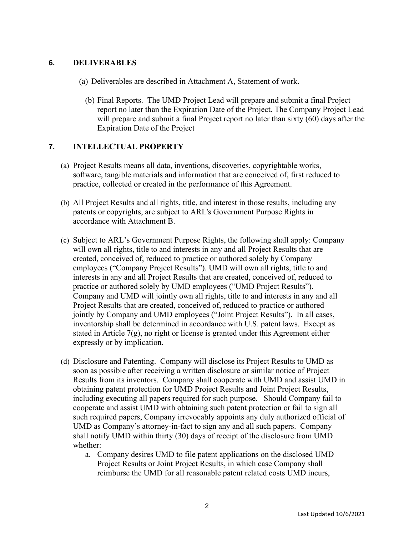## **6. DELIVERABLES**

- (a) Deliverables are described in Attachment A, Statement of work.
	- (b) Final Reports. The UMD Project Lead will prepare and submit a final Project report no later than the Expiration Date of the Project. The Company Project Lead will prepare and submit a final Project report no later than sixty (60) days after the Expiration Date of the Project

## **7. INTELLECTUAL PROPERTY**

- (a) Project Results means all data, inventions, discoveries, copyrightable works, software, tangible materials and information that are conceived of, first reduced to practice, collected or created in the performance of this Agreement.
- (b) All Project Results and all rights, title, and interest in those results, including any patents or copyrights, are subject to ARL's Government Purpose Rights in accordance with Attachment B.
- (c) Subject to ARL's Government Purpose Rights, the following shall apply: Company will own all rights, title to and interests in any and all Project Results that are created, conceived of, reduced to practice or authored solely by Company employees ("Company Project Results"). UMD will own all rights, title to and interests in any and all Project Results that are created, conceived of, reduced to practice or authored solely by UMD employees ("UMD Project Results"). Company and UMD will jointly own all rights, title to and interests in any and all Project Results that are created, conceived of, reduced to practice or authored jointly by Company and UMD employees ("Joint Project Results"). In all cases, inventorship shall be determined in accordance with U.S. patent laws. Except as stated in Article  $7(g)$ , no right or license is granted under this Agreement either expressly or by implication.
- (d) Disclosure and Patenting. Company will disclose its Project Results to UMD as soon as possible after receiving a written disclosure or similar notice of Project Results from its inventors. Company shall cooperate with UMD and assist UMD in obtaining patent protection for UMD Project Results and Joint Project Results, including executing all papers required for such purpose. Should Company fail to cooperate and assist UMD with obtaining such patent protection or fail to sign all such required papers, Company irrevocably appoints any duly authorized official of UMD as Company's attorney-in-fact to sign any and all such papers. Company shall notify UMD within thirty (30) days of receipt of the disclosure from UMD whether:
	- a. Company desires UMD to file patent applications on the disclosed UMD Project Results or Joint Project Results, in which case Company shall reimburse the UMD for all reasonable patent related costs UMD incurs,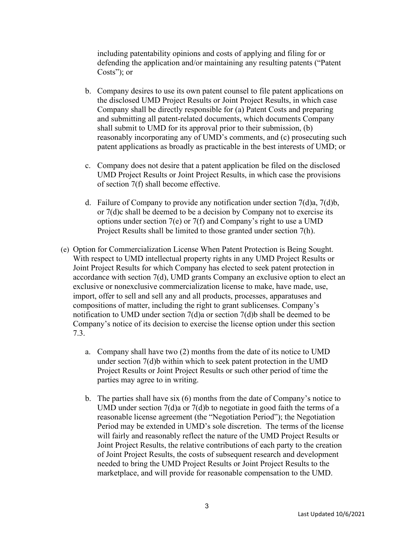including patentability opinions and costs of applying and filing for or defending the application and/or maintaining any resulting patents ("Patent Costs"); or

- b. Company desires to use its own patent counsel to file patent applications on the disclosed UMD Project Results or Joint Project Results, in which case Company shall be directly responsible for (a) Patent Costs and preparing and submitting all patent-related documents, which documents Company shall submit to UMD for its approval prior to their submission, (b) reasonably incorporating any of UMD's comments, and (c) prosecuting such patent applications as broadly as practicable in the best interests of UMD; or
- c. Company does not desire that a patent application be filed on the disclosed UMD Project Results or Joint Project Results, in which case the provisions of section 7(f) shall become effective.
- d. Failure of Company to provide any notification under section 7(d)a, 7(d)b, or 7(d)c shall be deemed to be a decision by Company not to exercise its options under section 7(e) or 7(f) and Company's right to use a UMD Project Results shall be limited to those granted under section 7(h).
- (e) Option for Commercialization License When Patent Protection is Being Sought. With respect to UMD intellectual property rights in any UMD Project Results or Joint Project Results for which Company has elected to seek patent protection in accordance with section 7(d), UMD grants Company an exclusive option to elect an exclusive or nonexclusive commercialization license to make, have made, use, import, offer to sell and sell any and all products, processes, apparatuses and compositions of matter, including the right to grant sublicenses. Company's notification to UMD under section 7(d)a or section 7(d)b shall be deemed to be Company's notice of its decision to exercise the license option under this section 7.3.
	- a. Company shall have two (2) months from the date of its notice to UMD under section 7(d)b within which to seek patent protection in the UMD Project Results or Joint Project Results or such other period of time the parties may agree to in writing.
	- b. The parties shall have six (6) months from the date of Company's notice to UMD under section 7(d)a or 7(d)b to negotiate in good faith the terms of a reasonable license agreement (the "Negotiation Period"); the Negotiation Period may be extended in UMD's sole discretion. The terms of the license will fairly and reasonably reflect the nature of the UMD Project Results or Joint Project Results, the relative contributions of each party to the creation of Joint Project Results, the costs of subsequent research and development needed to bring the UMD Project Results or Joint Project Results to the marketplace, and will provide for reasonable compensation to the UMD.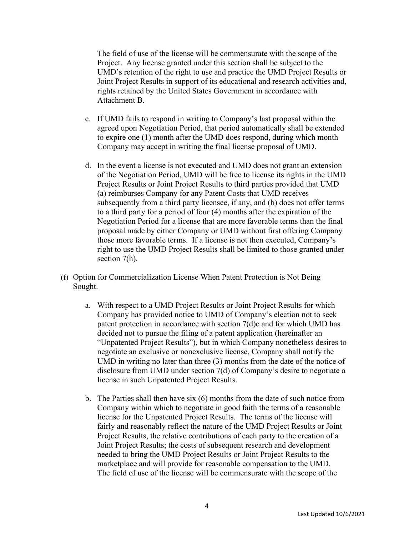The field of use of the license will be commensurate with the scope of the Project. Any license granted under this section shall be subject to the UMD's retention of the right to use and practice the UMD Project Results or Joint Project Results in support of its educational and research activities and, rights retained by the United States Government in accordance with Attachment B.

- c. If UMD fails to respond in writing to Company's last proposal within the agreed upon Negotiation Period, that period automatically shall be extended to expire one (1) month after the UMD does respond, during which month Company may accept in writing the final license proposal of UMD.
- d. In the event a license is not executed and UMD does not grant an extension of the Negotiation Period, UMD will be free to license its rights in the UMD Project Results or Joint Project Results to third parties provided that UMD (a) reimburses Company for any Patent Costs that UMD receives subsequently from a third party licensee, if any, and (b) does not offer terms to a third party for a period of four (4) months after the expiration of the Negotiation Period for a license that are more favorable terms than the final proposal made by either Company or UMD without first offering Company those more favorable terms. If a license is not then executed, Company's right to use the UMD Project Results shall be limited to those granted under section 7(h).
- (f) Option for Commercialization License When Patent Protection is Not Being Sought.
	- a. With respect to a UMD Project Results or Joint Project Results for which Company has provided notice to UMD of Company's election not to seek patent protection in accordance with section 7(d)c and for which UMD has decided not to pursue the filing of a patent application (hereinafter an "Unpatented Project Results"), but in which Company nonetheless desires to negotiate an exclusive or nonexclusive license, Company shall notify the UMD in writing no later than three (3) months from the date of the notice of disclosure from UMD under section 7(d) of Company's desire to negotiate a license in such Unpatented Project Results.
	- b. The Parties shall then have six (6) months from the date of such notice from Company within which to negotiate in good faith the terms of a reasonable license for the Unpatented Project Results. The terms of the license will fairly and reasonably reflect the nature of the UMD Project Results or Joint Project Results, the relative contributions of each party to the creation of a Joint Project Results; the costs of subsequent research and development needed to bring the UMD Project Results or Joint Project Results to the marketplace and will provide for reasonable compensation to the UMD. The field of use of the license will be commensurate with the scope of the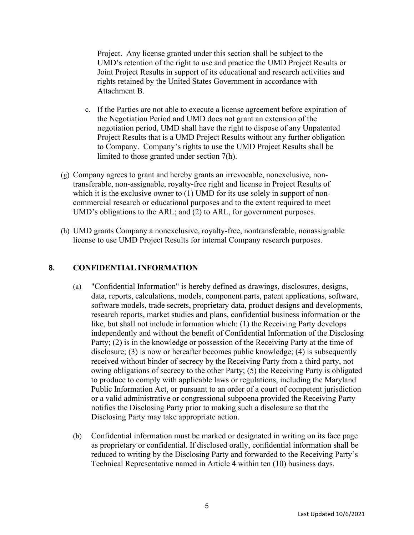Project. Any license granted under this section shall be subject to the UMD's retention of the right to use and practice the UMD Project Results or Joint Project Results in support of its educational and research activities and rights retained by the United States Government in accordance with Attachment B.

- c. If the Parties are not able to execute a license agreement before expiration of the Negotiation Period and UMD does not grant an extension of the negotiation period, UMD shall have the right to dispose of any Unpatented Project Results that is a UMD Project Results without any further obligation to Company. Company's rights to use the UMD Project Results shall be limited to those granted under section 7(h).
- (g) Company agrees to grant and hereby grants an irrevocable, nonexclusive, nontransferable, non-assignable, royalty-free right and license in Project Results of which it is the exclusive owner to (1) UMD for its use solely in support of noncommercial research or educational purposes and to the extent required to meet UMD's obligations to the ARL; and (2) to ARL, for government purposes.
- (h) UMD grants Company a nonexclusive, royalty-free, nontransferable, nonassignable license to use UMD Project Results for internal Company research purposes.

## **8. CONFIDENTIAL INFORMATION**

- (a) "Confidential Information" is hereby defined as drawings, disclosures, designs, data, reports, calculations, models, component parts, patent applications, software, software models, trade secrets, proprietary data, product designs and developments, research reports, market studies and plans, confidential business information or the like, but shall not include information which: (1) the Receiving Party develops independently and without the benefit of Confidential Information of the Disclosing Party; (2) is in the knowledge or possession of the Receiving Party at the time of disclosure; (3) is now or hereafter becomes public knowledge; (4) is subsequently received without binder of secrecy by the Receiving Party from a third party, not owing obligations of secrecy to the other Party; (5) the Receiving Party is obligated to produce to comply with applicable laws or regulations, including the Maryland Public Information Act, or pursuant to an order of a court of competent jurisdiction or a valid administrative or congressional subpoena provided the Receiving Party notifies the Disclosing Party prior to making such a disclosure so that the Disclosing Party may take appropriate action.
- (b) Confidential information must be marked or designated in writing on its face page as proprietary or confidential. If disclosed orally, confidential information shall be reduced to writing by the Disclosing Party and forwarded to the Receiving Party's Technical Representative named in Article 4 within ten (10) business days.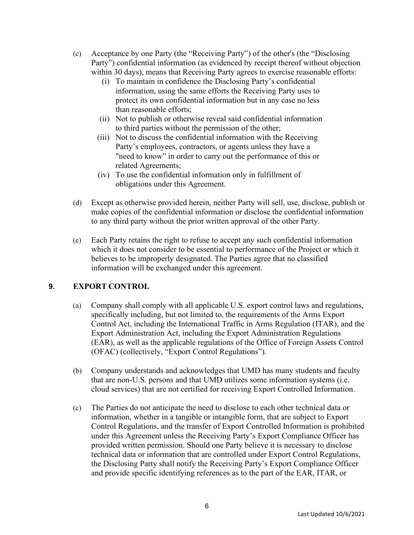- (c) Acceptance by one Party (the "Receiving Party") of the other's (the "Disclosing Party") confidential information (as evidenced by receipt thereof without objection within 30 days), means that Receiving Party agrees to exercise reasonable efforts:
	- (i) To maintain in confidence the Disclosing Party's confidential information, using the same efforts the Receiving Party uses to protect its own confidential information but in any case no less than reasonable efforts;
	- (ii) Not to publish or otherwise reveal said confidential information to third parties without the permission of the other;
	- (iii) Not to discuss the confidential information with the Receiving Party's employees, contractors, or agents unless they have a "need to know" in order to carry out the performance of this or related Agreements;
	- (iv) To use the confidential information only in fulfillment of obligations under this Agreement.
- (d) Except as otherwise provided herein, neither Party will sell, use, disclose, publish or make copies of the confidential information or disclose the confidential information to any third party without the prior written approval of the other Party.
- (e) Each Party retains the right to refuse to accept any such confidential information which it does not consider to be essential to performance of the Project or which it believes to be improperly designated. The Parties agree that no classified information will be exchanged under this agreement.

## **9. EXPORT CONTROL**

- (a) Company shall comply with all applicable U.S. export control laws and regulations, specifically including, but not limited to, the requirements of the Arms Export Control Act, including the International Traffic in Arms Regulation (ITAR), and the Export Administration Act, including the Export Administration Regulations (EAR), as well as the applicable regulations of the Office of Foreign Assets Control (OFAC) (collectively, "Export Control Regulations").
- (b) Company understands and acknowledges that UMD has many students and faculty that are non-U.S. persons and that UMD utilizes some information systems (i.e. cloud services) that are not certified for receiving Export Controlled Information.
- (c) The Parties do not anticipate the need to disclose to each other technical data or information, whether in a tangible or intangible form, that are subject to Export Control Regulations, and the transfer of Export Controlled Information is prohibited under this Agreement unless the Receiving Party's Export Compliance Officer has provided written permission. Should one Party believe it is necessary to disclose technical data or information that are controlled under Export Control Regulations, the Disclosing Party shall notify the Receiving Party's Export Compliance Officer and provide specific identifying references as to the part of the EAR, ITAR, or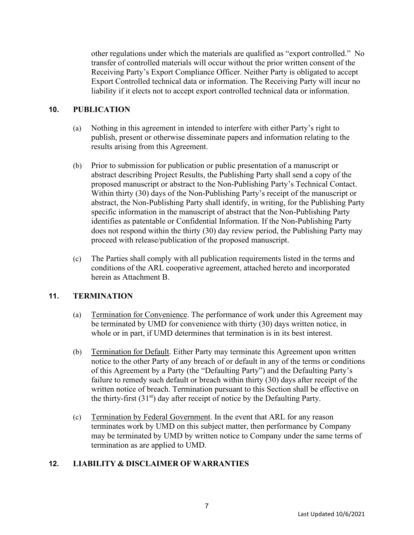other regulations under which the materials are qualified as "export controlled." No transfer of controlled materials will occur without the prior written consent of the Receiving Party's Export Compliance Officer. Neither Party is obligated to accept Export Controlled technical data or information. The Receiving Party will incur no liability if it elects not to accept export controlled technical data or information.

## **10. PUBLICATION**

- (a) Nothing in this agreement in intended to interfere with either Party's right to publish, present or otherwise disseminate papers and information relating to the results arising from this Agreement.
- (b) Prior to submission for publication or public presentation of a manuscript or abstract describing Project Results, the Publishing Party shall send a copy of the proposed manuscript or abstract to the Non-Publishing Party's Technical Contact. Within thirty (30) days of the Non-Publishing Party's receipt of the manuscript or abstract, the Non-Publishing Party shall identify, in writing, for the Publishing Party specific information in the manuscript of abstract that the Non-Publishing Party identifies as patentable or Confidential Information. If the Non-Publishing Party does not respond within the thirty (30) day review period, the Publishing Party may proceed with release/publication of the proposed manuscript.
- (c) The Parties shall comply with all publication requirements listed in the terms and conditions of the ARL cooperative agreement, attached hereto and incorporated herein as Attachment B.

## **11. TERMINATION**

- (a) Termination for Convenience. The performance of work under this Agreement may be terminated by UMD for convenience with thirty (30) days written notice, in whole or in part, if UMD determines that termination is in its best interest.
- (b) Termination for Default. Either Party may terminate this Agreement upon written notice to the other Party of any breach of or default in any of the terms or conditions of this Agreement by a Party (the "Defaulting Party") and the Defaulting Party's failure to remedy such default or breach within thirty (30) days after receipt of the written notice of breach. Termination pursuant to this Section shall be effective on the thirty-first  $(31<sup>st</sup>)$  day after receipt of notice by the Defaulting Party.
- (c) Termination by Federal Government. In the event that ARL for any reason terminates work by UMD on this subject matter, then performance by Company may be terminated by UMD by written notice to Company under the same terms of termination as are applied to UMD.

## **12. LIABILITY & DISCLAIMER OF WARRANTIES**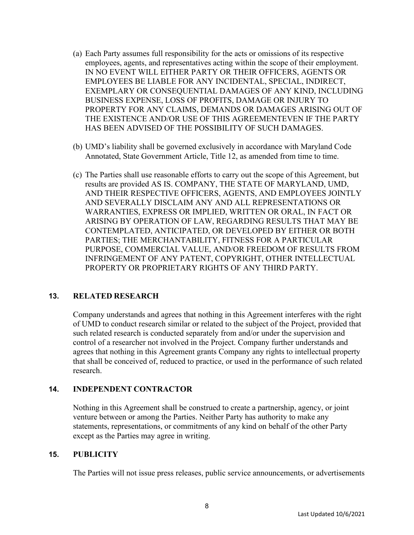- (a) Each Party assumes full responsibility for the acts or omissions of its respective employees, agents, and representatives acting within the scope of their employment. IN NO EVENT WILL EITHER PARTY OR THEIR OFFICERS, AGENTS OR EMPLOYEES BE LIABLE FOR ANY INCIDENTAL, SPECIAL, INDIRECT, EXEMPLARY OR CONSEQUENTIAL DAMAGES OF ANY KIND, INCLUDING BUSINESS EXPENSE, LOSS OF PROFITS, DAMAGE OR INJURY TO PROPERTY FOR ANY CLAIMS, DEMANDS OR DAMAGES ARISING OUT OF THE EXISTENCE AND/OR USE OF THIS AGREEMENTEVEN IF THE PARTY HAS BEEN ADVISED OF THE POSSIBILITY OF SUCH DAMAGES.
- (b) UMD's liability shall be governed exclusively in accordance with Maryland Code Annotated, State Government Article, Title 12, as amended from time to time.
- (c) The Parties shall use reasonable efforts to carry out the scope of this Agreement, but results are provided AS IS. COMPANY, THE STATE OF MARYLAND, UMD, AND THEIR RESPECTIVE OFFICERS, AGENTS, AND EMPLOYEES JOINTLY AND SEVERALLY DISCLAIM ANY AND ALL REPRESENTATIONS OR WARRANTIES, EXPRESS OR IMPLIED, WRITTEN OR ORAL, IN FACT OR ARISING BY OPERATION OF LAW, REGARDING RESULTS THAT MAY BE CONTEMPLATED, ANTICIPATED, OR DEVELOPED BY EITHER OR BOTH PARTIES; THE MERCHANTABILITY, FITNESS FOR A PARTICULAR PURPOSE, COMMERCIAL VALUE, AND/OR FREEDOM OF RESULTS FROM INFRINGEMENT OF ANY PATENT, COPYRIGHT, OTHER INTELLECTUAL PROPERTY OR PROPRIETARY RIGHTS OF ANY THIRD PARTY.

#### **13. RELATED RESEARCH**

Company understands and agrees that nothing in this Agreement interferes with the right of UMD to conduct research similar or related to the subject of the Project, provided that such related research is conducted separately from and/or under the supervision and control of a researcher not involved in the Project. Company further understands and agrees that nothing in this Agreement grants Company any rights to intellectual property that shall be conceived of, reduced to practice, or used in the performance of such related research.

#### **14. INDEPENDENT CONTRACTOR**

Nothing in this Agreement shall be construed to create a partnership, agency, or joint venture between or among the Parties. Neither Party has authority to make any statements, representations, or commitments of any kind on behalf of the other Party except as the Parties may agree in writing.

#### **15. PUBLICITY**

The Parties will not issue press releases, public service announcements, or advertisements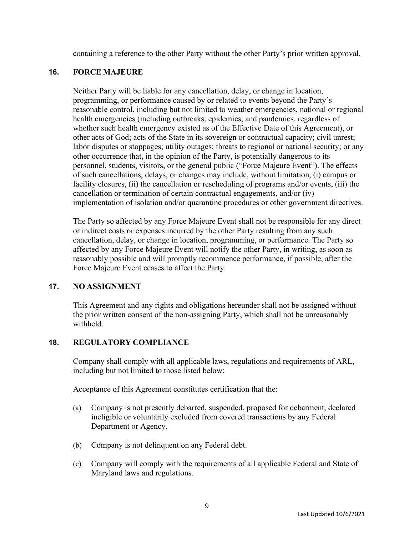containing a reference to the other Party without the other Party's prior written approval.

## **16. FORCE MAJEURE**

Neither Party will be liable for any cancellation, delay, or change in location, programming, or performance caused by or related to events beyond the Party's reasonable control, including but not limited to weather emergencies, national or regional health emergencies (including outbreaks, epidemics, and pandemics, regardless of whether such health emergency existed as of the Effective Date of this Agreement), or other acts of God; acts of the State in its sovereign or contractual capacity; civil unrest; labor disputes or stoppages; utility outages; threats to regional or national security; or any other occurrence that, in the opinion of the Party, is potentially dangerous to its personnel, students, visitors, or the general public ("Force Majeure Event"). The effects of such cancellations, delays, or changes may include, without limitation, (i) campus or facility closures, (ii) the cancellation or rescheduling of programs and/or events, (iii) the cancellation or termination of certain contractual engagements, and/or (iv) implementation of isolation and/or quarantine procedures or other government directives.

The Party so affected by any Force Majeure Event shall not be responsible for any direct or indirect costs or expenses incurred by the other Party resulting from any such cancellation, delay, or change in location, programming, or performance. The Party so affected by any Force Majeure Event will notify the other Party, in writing, as soon as reasonably possible and will promptly recommence performance, if possible, after the Force Majeure Event ceases to affect the Party.

## **17. NO ASSIGNMENT**

This Agreement and any rights and obligations hereunder shall not be assigned without the prior written consent of the non-assigning Party, which shall not be unreasonably withheld.

## **18. REGULATORY COMPLIANCE**

Company shall comply with all applicable laws, regulations and requirements of ARL, including but not limited to those listed below:

Acceptance of this Agreement constitutes certification that the:

- (a) Company is not presently debarred, suspended, proposed for debarment, declared ineligible or voluntarily excluded from covered transactions by any Federal Department or Agency.
- (b) Company is not delinquent on any Federal debt.
- (c) Company will comply with the requirements of all applicable Federal and State of Maryland laws and regulations.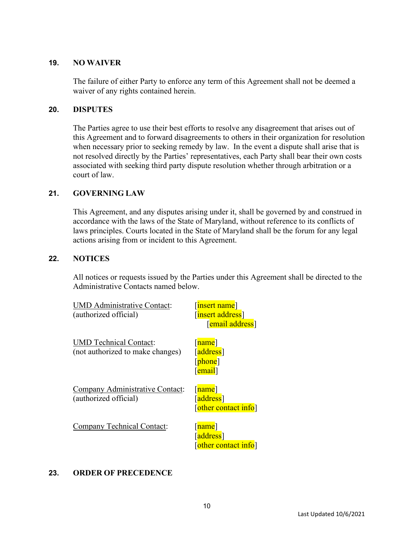#### **19. NO WAIVER**

The failure of either Party to enforce any term of this Agreement shall not be deemed a waiver of any rights contained herein.

#### **20. DISPUTES**

The Parties agree to use their best efforts to resolve any disagreement that arises out of this Agreement and to forward disagreements to others in their organization for resolution when necessary prior to seeking remedy by law. In the event a dispute shall arise that is not resolved directly by the Parties' representatives, each Party shall bear their own costs associated with seeking third party dispute resolution whether through arbitration or a court of law.

#### **21. GOVERNING LAW**

This Agreement, and any disputes arising under it, shall be governed by and construed in accordance with the laws of the State of Maryland, without reference to its conflicts of laws principles. Courts located in the State of Maryland shall be the forum for any legal actions arising from or incident to this Agreement.

#### **22. NOTICES**

All notices or requests issued by the Parties under this Agreement shall be directed to the Administrative Contacts named below.

| <b>MD</b> Administrative Contact:<br>(authorized official)        | [insert name]<br>[insert address]<br>[email address]       |
|-------------------------------------------------------------------|------------------------------------------------------------|
| <b>UMD</b> Technical Contact:<br>(not authorized to make changes) | [ <mark>name</mark> ]<br>[address]<br>[phone]<br>[email]   |
| Company Administrative Contact:<br>(authorized official)          | [ <mark>name</mark> ]<br>[address]<br>[other contact info] |
| Company Technical Contact:                                        | [name]<br>[address]<br>[other contact info]                |

## **23. ORDER OF PRECEDENCE**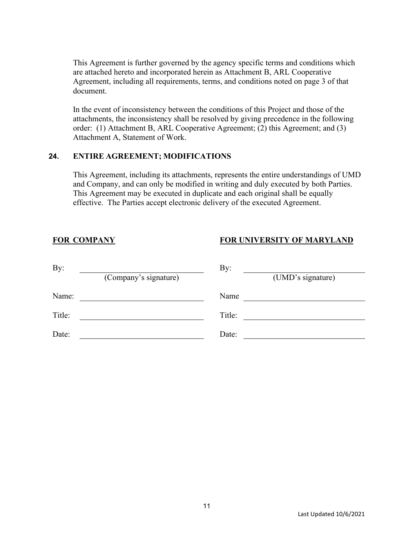This Agreement is further governed by the agency specific terms and conditions which are attached hereto and incorporated herein as Attachment B, ARL Cooperative Agreement, including all requirements, terms, and conditions noted on page 3 of that document.

In the event of inconsistency between the conditions of this Project and those of the attachments, the inconsistency shall be resolved by giving precedence in the following order: (1) Attachment B, ARL Cooperative Agreement; (2) this Agreement; and (3) Attachment A, Statement of Work.

#### **24. ENTIRE AGREEMENT; MODIFICATIONS**

This Agreement, including its attachments, represents the entire understandings of UMD and Company, and can only be modified in writing and duly executed by both Parties. This Agreement may be executed in duplicate and each original shall be equally effective. The Parties accept electronic delivery of the executed Agreement.

# **FOR COMPANY FOR UNIVERSITY OF MARYLAND**

| By:    |                       | By:               |  |
|--------|-----------------------|-------------------|--|
|        | (Company's signature) | (UMD's signature) |  |
| Name:  |                       | Name              |  |
| Title: |                       | Title:            |  |
| Date:  |                       | Date:             |  |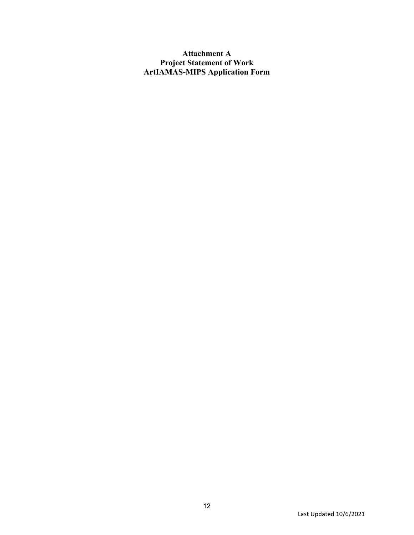# **Attachment A Project Statement of Work ArtIAMAS-MIPS Application Form**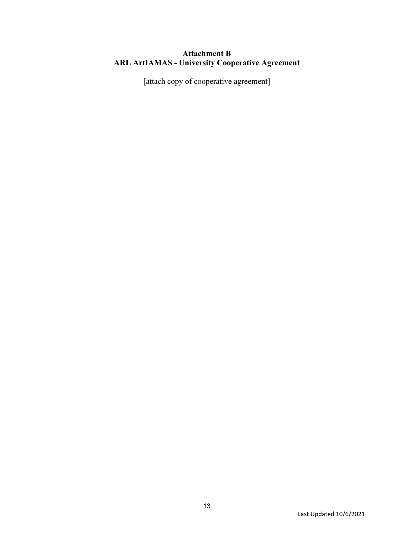# **Attachment B ARL ArtIAMAS - University Cooperative Agreement**

[attach copy of cooperative agreement]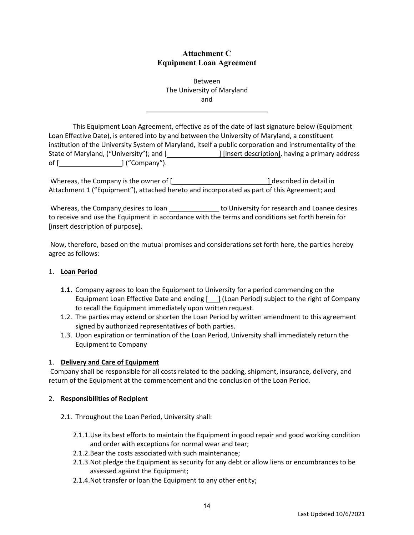### **Attachment C Equipment Loan Agreement**

Between The University of Maryland and

This Equipment Loan Agreement, effective as of the date of last signature below (Equipment Loan Effective Date), is entered into by and between the University of Maryland, a constituent institution of the University System of Maryland, itself a public corporation and instrumentality of the State of Maryland, ("University"); and [*\_\_\_\_\_\_\_\_\_\_\_\_\_\_\_\_]* [insert description], having a primary address of [  $]$  ("Company").

Whereas, the Company is the owner of [ ] described in detail in Attachment 1 ("Equipment"), attached hereto and incorporated as part of this Agreement; and

Whereas, the Company desires to loan to University for research and Loanee desires to receive and use the Equipment in accordance with the terms and conditions set forth herein for [insert description of purpose].

Now, therefore, based on the mutual promises and considerations set forth here, the parties hereby agree as follows:

#### 1. **Loan Period**

- **1.1.** Company agrees to loan the Equipment to University for a period commencing on the Equipment Loan Effective Date and ending  $[\ ]$  (Loan Period) subject to the right of Company to recall the Equipment immediately upon written request.
- 1.2. The parties may extend or shorten the Loan Period by written amendment to this agreement signed by authorized representatives of both parties.
- 1.3. Upon expiration or termination of the Loan Period, University shall immediately return the Equipment to Company

#### 1. **Delivery and Care of Equipment**

Company shall be responsible for all costs related to the packing, shipment, insurance, delivery, and return of the Equipment at the commencement and the conclusion of the Loan Period.

#### 2. **Responsibilities of Recipient**

- 2.1. Throughout the Loan Period, University shall:
	- 2.1.1.Use its best efforts to maintain the Equipment in good repair and good working condition and order with exceptions for normal wear and tear;
	- 2.1.2.Bear the costs associated with such maintenance;
	- 2.1.3.Not pledge the Equipment as security for any debt or allow liens or encumbrances to be assessed against the Equipment;
	- 2.1.4.Not transfer or loan the Equipment to any other entity;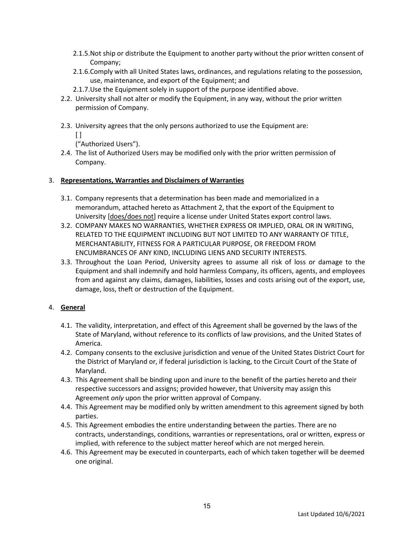- 2.1.5.Not ship or distribute the Equipment to another party without the prior written consent of Company;
- 2.1.6.Comply with all United States laws, ordinances, and regulations relating to the possession, use, maintenance, and export of the Equipment; and
- 2.1.7.Use the Equipment solely in support of the purpose identified above.
- 2.2. University shall not alter or modify the Equipment, in any way, without the prior written permission of Company.
- 2.3. University agrees that the only persons authorized to use the Equipment are:  $\Box$

("Authorized Users").

2.4. The list of Authorized Users may be modified only with the prior written permission of Company.

#### 3. **Representations, Warranties and Disclaimers of Warranties**

- 3.1. Company represents that a determination has been made and memorialized in a memorandum, attached hereto as Attachment 2, that the export of the Equipment to University [does/does not] require a license under United States export control laws.
- 3.2. COMPANY MAKES NO WARRANTIES, WHETHER EXPRESS OR IMPLIED, ORAL OR IN WRITING, RELATED TO THE EQUIPMENT INCLUDING BUT NOT LIMITED TO ANY WARRANTY OF TITLE, MERCHANTABILITY, FITNESS FOR A PARTICULAR PURPOSE, OR FREEDOM FROM ENCUMBRANCES OF ANY KIND, INCLUDING LIENS AND SECURITY INTERESTS.
- 3.3. Throughout the Loan Period, University agrees to assume all risk of loss or damage to the Equipment and shall indemnify and hold harmless Company, its officers, agents, and employees from and against any claims, damages, liabilities, losses and costs arising out of the export, use, damage, loss, theft or destruction of the Equipment.

#### 4. **General**

- 4.1. The validity, interpretation, and effect of this Agreement shall be governed by the laws of the State of Maryland, without reference to its conflicts of law provisions, and the United States of America.
- 4.2. Company consents to the exclusive jurisdiction and venue of the United States District Court for the District of Maryland or, if federal jurisdiction is lacking, to the Circuit Court of the State of Maryland.
- 4.3. This Agreement shall be binding upon and inure to the benefit of the parties hereto and their respective successors and assigns; provided however, that University may assign this Agreement *only* upon the prior written approval of Company.
- 4.4. This Agreement may be modified only by written amendment to this agreement signed by both parties.
- 4.5. This Agreement embodies the entire understanding between the parties. There are no contracts, understandings, conditions, warranties or representations, oral or written, express or implied, with reference to the subject matter hereof which are not merged herein.
- 4.6. This Agreement may be executed in counterparts, each of which taken together will be deemed one original.